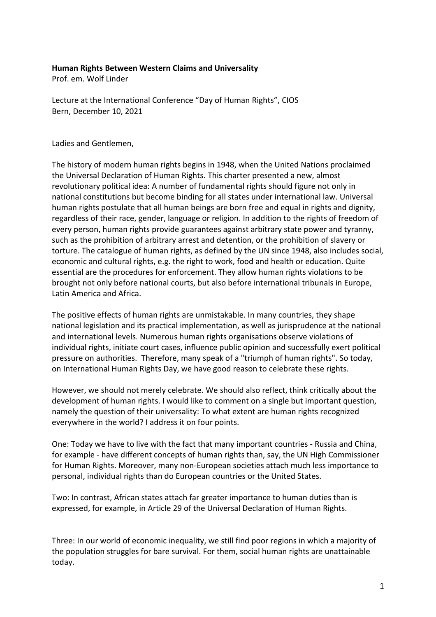## **Human Rights Between Western Claims and Universality**

Prof. em. Wolf Linder

Lecture at the International Conference "Day of Human Rights", CIOS Bern, December 10, 2021

Ladies and Gentlemen,

The history of modern human rights begins in 1948, when the United Nations proclaimed the Universal Declaration of Human Rights. This charter presented a new, almost revolutionary political idea: A number of fundamental rights should figure not only in national constitutions but become binding for all states under international law. Universal human rights postulate that all human beings are born free and equal in rights and dignity, regardless of their race, gender, language or religion. In addition to the rights of freedom of every person, human rights provide guarantees against arbitrary state power and tyranny, such as the prohibition of arbitrary arrest and detention, or the prohibition of slavery or torture. The catalogue of human rights, as defined by the UN since 1948, also includes social, economic and cultural rights, e.g. the right to work, food and health or education. Quite essential are the procedures for enforcement. They allow human rights violations to be brought not only before national courts, but also before international tribunals in Europe, Latin America and Africa.

The positive effects of human rights are unmistakable. In many countries, they shape national legislation and its practical implementation, as well as jurisprudence at the national and international levels. Numerous human rights organisations observe violations of individual rights, initiate court cases, influence public opinion and successfully exert political pressure on authorities. Therefore, many speak of a "triumph of human rights". So today, on International Human Rights Day, we have good reason to celebrate these rights.

However, we should not merely celebrate. We should also reflect, think critically about the development of human rights. I would like to comment on a single but important question, namely the question of their universality: To what extent are human rights recognized everywhere in the world? I address it on four points.

One: Today we have to live with the fact that many important countries - Russia and China, for example - have different concepts of human rights than, say, the UN High Commissioner for Human Rights. Moreover, many non-European societies attach much less importance to personal, individual rights than do European countries or the United States.

Two: In contrast, African states attach far greater importance to human duties than is expressed, for example, in Article 29 of the Universal Declaration of Human Rights.

Three: In our world of economic inequality, we still find poor regions in which a majority of the population struggles for bare survival. For them, social human rights are unattainable today.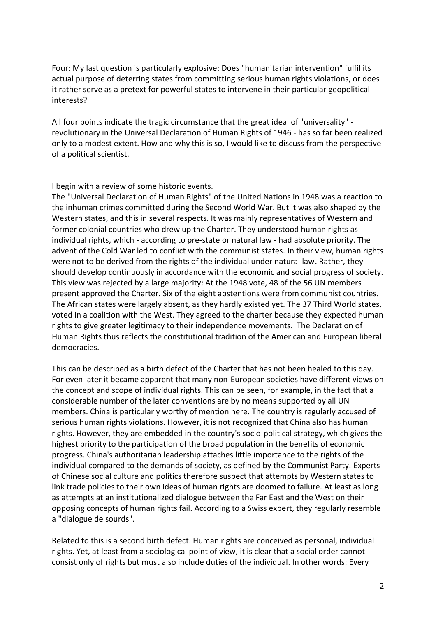Four: My last question is particularly explosive: Does "humanitarian intervention" fulfil its actual purpose of deterring states from committing serious human rights violations, or does it rather serve as a pretext for powerful states to intervene in their particular geopolitical interests?

All four points indicate the tragic circumstance that the great ideal of "universality" revolutionary in the Universal Declaration of Human Rights of 1946 - has so far been realized only to a modest extent. How and why this is so, I would like to discuss from the perspective of a political scientist.

I begin with a review of some historic events.

The "Universal Declaration of Human Rights" of the United Nations in 1948 was a reaction to the inhuman crimes committed during the Second World War. But it was also shaped by the Western states, and this in several respects. It was mainly representatives of Western and former colonial countries who drew up the Charter. They understood human rights as individual rights, which - according to pre-state or natural law - had absolute priority. The advent of the Cold War led to conflict with the communist states. In their view, human rights were not to be derived from the rights of the individual under natural law. Rather, they should develop continuously in accordance with the economic and social progress of society. This view was rejected by a large majority: At the 1948 vote, 48 of the 56 UN members present approved the Charter. Six of the eight abstentions were from communist countries. The African states were largely absent, as they hardly existed yet. The 37 Third World states, voted in a coalition with the West. They agreed to the charter because they expected human rights to give greater legitimacy to their independence movements. The Declaration of Human Rights thus reflects the constitutional tradition of the American and European liberal democracies.

This can be described as a birth defect of the Charter that has not been healed to this day. For even later it became apparent that many non-European societies have different views on the concept and scope of individual rights. This can be seen, for example, in the fact that a considerable number of the later conventions are by no means supported by all UN members. China is particularly worthy of mention here. The country is regularly accused of serious human rights violations. However, it is not recognized that China also has human rights. However, they are embedded in the country's socio-political strategy, which gives the highest priority to the participation of the broad population in the benefits of economic progress. China's authoritarian leadership attaches little importance to the rights of the individual compared to the demands of society, as defined by the Communist Party. Experts of Chinese social culture and politics therefore suspect that attempts by Western states to link trade policies to their own ideas of human rights are doomed to failure. At least as long as attempts at an institutionalized dialogue between the Far East and the West on their opposing concepts of human rights fail. According to a Swiss expert, they regularly resemble a "dialogue de sourds".

Related to this is a second birth defect. Human rights are conceived as personal, individual rights. Yet, at least from a sociological point of view, it is clear that a social order cannot consist only of rights but must also include duties of the individual. In other words: Every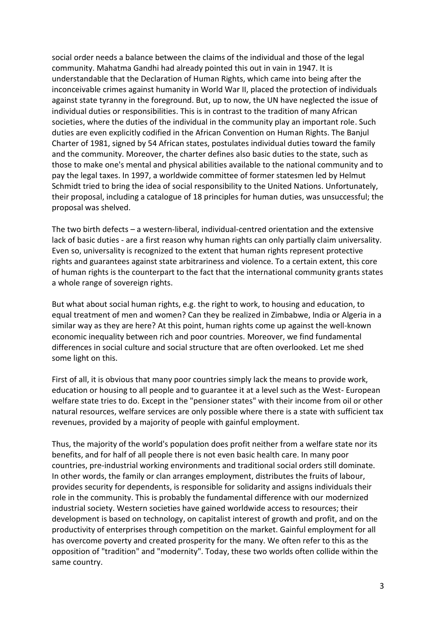social order needs a balance between the claims of the individual and those of the legal community. Mahatma Gandhi had already pointed this out in vain in 1947. It is understandable that the Declaration of Human Rights, which came into being after the inconceivable crimes against humanity in World War II, placed the protection of individuals against state tyranny in the foreground. But, up to now, the UN have neglected the issue of individual duties or responsibilities. This is in contrast to the tradition of many African societies, where the duties of the individual in the community play an important role. Such duties are even explicitly codified in the African Convention on Human Rights. The Banjul Charter of 1981, signed by 54 African states, postulates individual duties toward the family and the community. Moreover, the charter defines also basic duties to the state, such as those to make one's mental and physical abilities available to the national community and to pay the legal taxes. In 1997, a worldwide committee of former statesmen led by Helmut Schmidt tried to bring the idea of social responsibility to the United Nations. Unfortunately, their proposal, including a catalogue of 18 principles for human duties, was unsuccessful; the proposal was shelved.

The two birth defects – a western-liberal, individual-centred orientation and the extensive lack of basic duties - are a first reason why human rights can only partially claim universality. Even so, universality is recognized to the extent that human rights represent protective rights and guarantees against state arbitrariness and violence. To a certain extent, this core of human rights is the counterpart to the fact that the international community grants states a whole range of sovereign rights.

But what about social human rights, e.g. the right to work, to housing and education, to equal treatment of men and women? Can they be realized in Zimbabwe, India or Algeria in a similar way as they are here? At this point, human rights come up against the well-known economic inequality between rich and poor countries. Moreover, we find fundamental differences in social culture and social structure that are often overlooked. Let me shed some light on this.

First of all, it is obvious that many poor countries simply lack the means to provide work, education or housing to all people and to guarantee it at a level such as the West- European welfare state tries to do. Except in the "pensioner states" with their income from oil or other natural resources, welfare services are only possible where there is a state with sufficient tax revenues, provided by a majority of people with gainful employment.

Thus, the majority of the world's population does profit neither from a welfare state nor its benefits, and for half of all people there is not even basic health care. In many poor countries, pre-industrial working environments and traditional social orders still dominate. In other words, the family or clan arranges employment, distributes the fruits of labour, provides security for dependents, is responsible for solidarity and assigns individuals their role in the community. This is probably the fundamental difference with our modernized industrial society. Western societies have gained worldwide access to resources; their development is based on technology, on capitalist interest of growth and profit, and on the productivity of enterprises through competition on the market. Gainful employment for all has overcome poverty and created prosperity for the many. We often refer to this as the opposition of "tradition" and "modernity". Today, these two worlds often collide within the same country.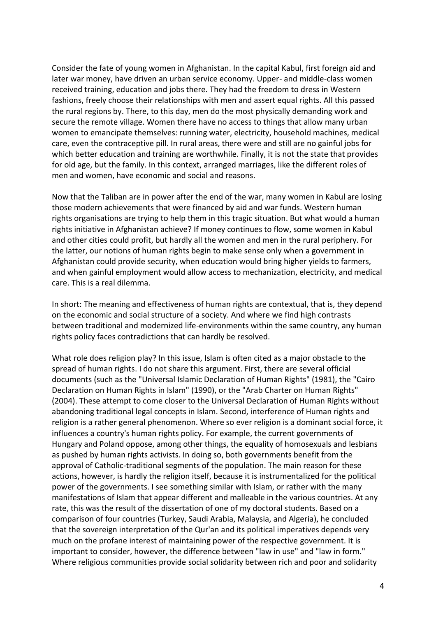Consider the fate of young women in Afghanistan. In the capital Kabul, first foreign aid and later war money, have driven an urban service economy. Upper- and middle-class women received training, education and jobs there. They had the freedom to dress in Western fashions, freely choose their relationships with men and assert equal rights. All this passed the rural regions by. There, to this day, men do the most physically demanding work and secure the remote village. Women there have no access to things that allow many urban women to emancipate themselves: running water, electricity, household machines, medical care, even the contraceptive pill. In rural areas, there were and still are no gainful jobs for which better education and training are worthwhile. Finally, it is not the state that provides for old age, but the family. In this context, arranged marriages, like the different roles of men and women, have economic and social and reasons.

Now that the Taliban are in power after the end of the war, many women in Kabul are losing those modern achievements that were financed by aid and war funds. Western human rights organisations are trying to help them in this tragic situation. But what would a human rights initiative in Afghanistan achieve? If money continues to flow, some women in Kabul and other cities could profit, but hardly all the women and men in the rural periphery. For the latter, our notions of human rights begin to make sense only when a government in Afghanistan could provide security, when education would bring higher yields to farmers, and when gainful employment would allow access to mechanization, electricity, and medical care. This is a real dilemma.

In short: The meaning and effectiveness of human rights are contextual, that is, they depend on the economic and social structure of a society. And where we find high contrasts between traditional and modernized life-environments within the same country, any human rights policy faces contradictions that can hardly be resolved.

What role does religion play? In this issue, Islam is often cited as a major obstacle to the spread of human rights. I do not share this argument. First, there are several official documents (such as the "Universal Islamic Declaration of Human Rights" (1981), the "Cairo Declaration on Human Rights in Islam" (1990), or the "Arab Charter on Human Rights" (2004). These attempt to come closer to the Universal Declaration of Human Rights without abandoning traditional legal concepts in Islam. Second, interference of Human rights and religion is a rather general phenomenon. Where so ever religion is a dominant social force, it influences a country's human rights policy. For example, the current governments of Hungary and Poland oppose, among other things, the equality of homosexuals and lesbians as pushed by human rights activists. In doing so, both governments benefit from the approval of Catholic-traditional segments of the population. The main reason for these actions, however, is hardly the religion itself, because it is instrumentalized for the political power of the governments. I see something similar with Islam, or rather with the many manifestations of Islam that appear different and malleable in the various countries. At any rate, this was the result of the dissertation of one of my doctoral students. Based on a comparison of four countries (Turkey, Saudi Arabia, Malaysia, and Algeria), he concluded that the sovereign interpretation of the Qur'an and its political imperatives depends very much on the profane interest of maintaining power of the respective government. It is important to consider, however, the difference between "law in use" and "law in form." Where religious communities provide social solidarity between rich and poor and solidarity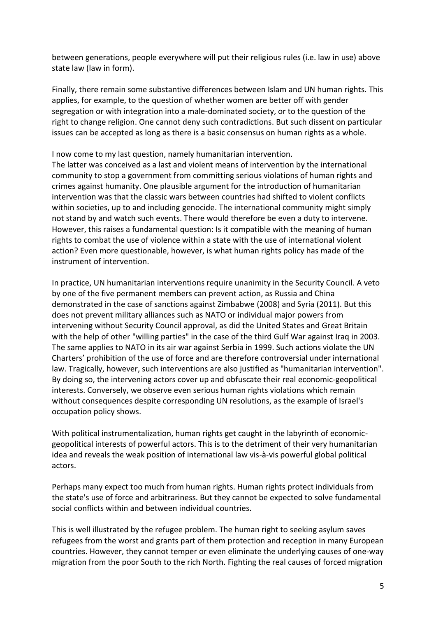between generations, people everywhere will put their religious rules (i.e. law in use) above state law (law in form).

Finally, there remain some substantive differences between Islam and UN human rights. This applies, for example, to the question of whether women are better off with gender segregation or with integration into a male-dominated society, or to the question of the right to change religion. One cannot deny such contradictions. But such dissent on particular issues can be accepted as long as there is a basic consensus on human rights as a whole.

## I now come to my last question, namely humanitarian intervention.

The latter was conceived as a last and violent means of intervention by the international community to stop a government from committing serious violations of human rights and crimes against humanity. One plausible argument for the introduction of humanitarian intervention was that the classic wars between countries had shifted to violent conflicts within societies, up to and including genocide. The international community might simply not stand by and watch such events. There would therefore be even a duty to intervene. However, this raises a fundamental question: Is it compatible with the meaning of human rights to combat the use of violence within a state with the use of international violent action? Even more questionable, however, is what human rights policy has made of the instrument of intervention.

In practice, UN humanitarian interventions require unanimity in the Security Council. A veto by one of the five permanent members can prevent action, as Russia and China demonstrated in the case of sanctions against Zimbabwe (2008) and Syria (2011). But this does not prevent military alliances such as NATO or individual major powers from intervening without Security Council approval, as did the United States and Great Britain with the help of other "willing parties" in the case of the third Gulf War against Iraq in 2003. The same applies to NATO in its air war against Serbia in 1999. Such actions violate the UN Charters' prohibition of the use of force and are therefore controversial under international law. Tragically, however, such interventions are also justified as "humanitarian intervention". By doing so, the intervening actors cover up and obfuscate their real economic-geopolitical interests. Conversely, we observe even serious human rights violations which remain without consequences despite corresponding UN resolutions, as the example of Israel's occupation policy shows.

With political instrumentalization, human rights get caught in the labyrinth of economicgeopolitical interests of powerful actors. This is to the detriment of their very humanitarian idea and reveals the weak position of international law vis-à-vis powerful global political actors.

Perhaps many expect too much from human rights. Human rights protect individuals from the state's use of force and arbitrariness. But they cannot be expected to solve fundamental social conflicts within and between individual countries.

This is well illustrated by the refugee problem. The human right to seeking asylum saves refugees from the worst and grants part of them protection and reception in many European countries. However, they cannot temper or even eliminate the underlying causes of one-way migration from the poor South to the rich North. Fighting the real causes of forced migration